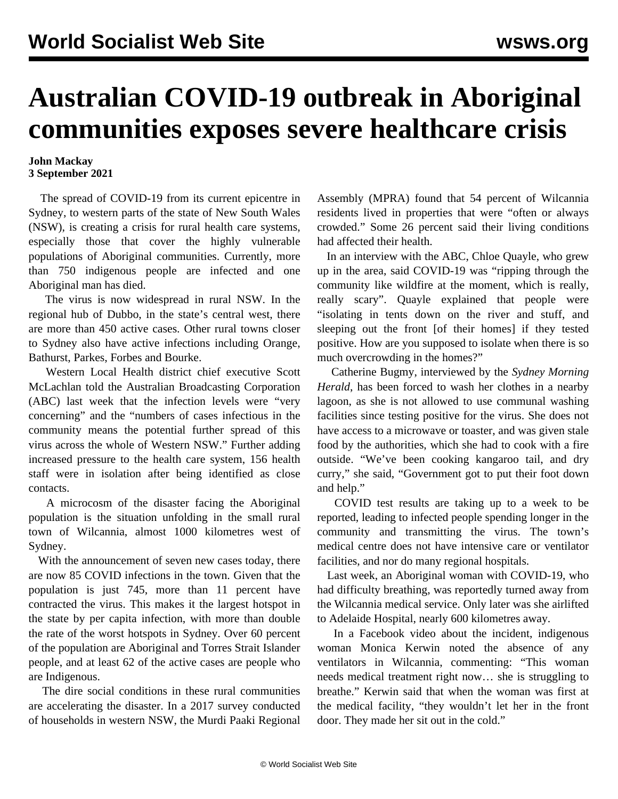## **Australian COVID-19 outbreak in Aboriginal communities exposes severe healthcare crisis**

## **John Mackay 3 September 2021**

 The spread of COVID-19 from its current epicentre in Sydney, to western parts of the state of New South Wales (NSW), is creating a crisis for rural health care systems, especially those that cover the highly vulnerable populations of Aboriginal communities. Currently, more than 750 indigenous people are infected and one Aboriginal man has died.

 The virus is now widespread in rural NSW. In the regional hub of Dubbo, in the state's central west, there are more than 450 active cases. Other rural towns closer to Sydney also have active infections including Orange, Bathurst, Parkes, Forbes and Bourke.

 Western Local Health district chief executive Scott McLachlan told the Australian Broadcasting Corporation (ABC) last week that the infection levels were "very concerning" and the "numbers of cases infectious in the community means the potential further spread of this virus across the whole of Western NSW." Further adding increased pressure to the health care system, 156 health staff were in isolation after being identified as close contacts.

 A microcosm of the disaster facing the Aboriginal population is the situation unfolding in the small rural town of Wilcannia, almost 1000 kilometres west of Sydney.

 With the announcement of seven new cases today, there are now 85 COVID infections in the town. Given that the population is just 745, more than 11 percent have contracted the virus. This makes it the largest hotspot in the state by per capita infection, with more than double the rate of the worst hotspots in Sydney. Over 60 percent of the population are Aboriginal and Torres Strait Islander people, and at least 62 of the active cases are people who are Indigenous.

 The dire social conditions in these rural communities are accelerating the disaster. In a 2017 survey conducted of households in western NSW, the Murdi Paaki Regional

Assembly (MPRA) found that 54 percent of Wilcannia residents lived in properties that were "often or always crowded." Some 26 percent said their living conditions had affected their health.

 In an interview with the ABC, Chloe Quayle, who grew up in the area, said COVID-19 was "ripping through the community like wildfire at the moment, which is really, really scary". Quayle explained that people were "isolating in tents down on the river and stuff, and sleeping out the front [of their homes] if they tested positive. How are you supposed to isolate when there is so much overcrowding in the homes?"

 Catherine Bugmy, interviewed by the *Sydney Morning Herald*, has been forced to wash her clothes in a nearby lagoon, as she is not allowed to use communal washing facilities since testing positive for the virus. She does not have access to a microwave or toaster, and was given stale food by the authorities, which she had to cook with a fire outside. "We've been cooking kangaroo tail, and dry curry," she said, "Government got to put their foot down and help."

 COVID test results are taking up to a week to be reported, leading to infected people spending longer in the community and transmitting the virus. The town's medical centre does not have intensive care or ventilator facilities, and nor do many regional hospitals.

 Last week, an Aboriginal woman with COVID-19, who had difficulty breathing, was reportedly turned away from the Wilcannia medical service. Only later was she airlifted to Adelaide Hospital, nearly 600 kilometres away.

 In a Facebook video about the incident, indigenous woman Monica Kerwin noted the absence of any ventilators in Wilcannia, commenting: "This woman needs medical treatment right now… she is struggling to breathe." Kerwin said that when the woman was first at the medical facility, "they wouldn't let her in the front door. They made her sit out in the cold."